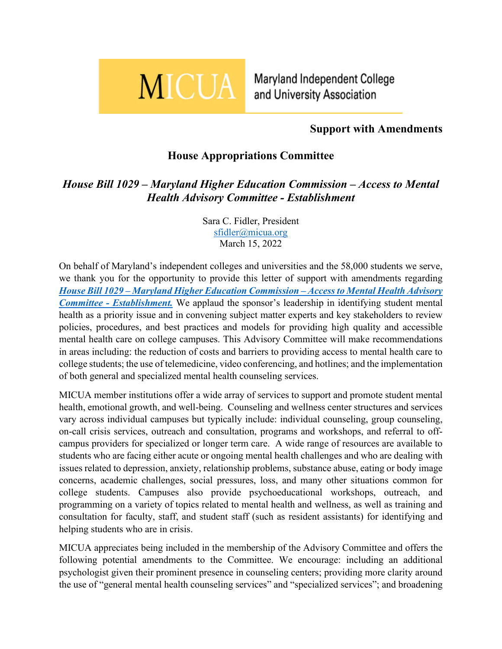

Maryland Independent College and University Association

## **Support with Amendments**

## **House Appropriations Committee**

## *House Bill 1029 – Maryland Higher Education Commission – Access to Mental Health Advisory Committee - Establishment*

Sara C. Fidler, President [sfidler@micua.org](mailto:sfidler@micua.org) March 15, 2022

On behalf of Maryland's independent colleges and universities and the 58,000 students we serve, we thank you for the opportunity to provide this letter of support with amendments regarding *House Bill 1029 – [Maryland Higher Education Commission –](https://mgaleg.maryland.gov/mgawebsite/Legislation/Details/hb1029) Access to Mental Health Advisory Committee - [Establishment.](https://mgaleg.maryland.gov/mgawebsite/Legislation/Details/hb1029)* We applaud the sponsor's leadership in identifying student mental health as a priority issue and in convening subject matter experts and key stakeholders to review policies, procedures, and best practices and models for providing high quality and accessible mental health care on college campuses. This Advisory Committee will make recommendations in areas including: the reduction of costs and barriers to providing access to mental health care to college students; the use of telemedicine, video conferencing, and hotlines; and the implementation of both general and specialized mental health counseling services.

MICUA member institutions offer a wide array of services to support and promote student mental health, emotional growth, and well-being. Counseling and wellness center structures and services vary across individual campuses but typically include: individual counseling, group counseling, on-call crisis services, outreach and consultation, programs and workshops, and referral to offcampus providers for specialized or longer term care. A wide range of resources are available to students who are facing either acute or ongoing mental health challenges and who are dealing with issues related to depression, anxiety, relationship problems, substance abuse, eating or body image concerns, academic challenges, social pressures, loss, and many other situations common for college students. Campuses also provide psychoeducational workshops, outreach, and programming on a variety of topics related to mental health and wellness, as well as training and consultation for faculty, staff, and student staff (such as resident assistants) for identifying and helping students who are in crisis.

MICUA appreciates being included in the membership of the Advisory Committee and offers the following potential amendments to the Committee. We encourage: including an additional psychologist given their prominent presence in counseling centers; providing more clarity around the use of "general mental health counseling services" and "specialized services"; and broadening